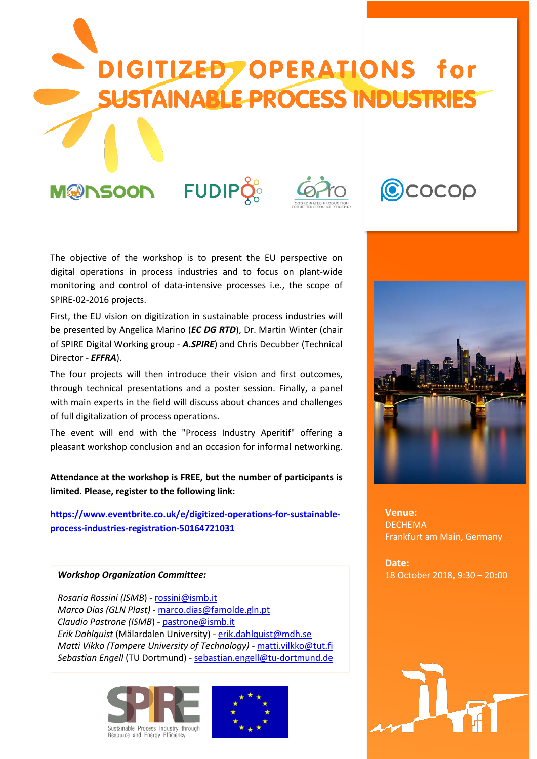

The objective of the workshop is to present the EU perspective on digital operations in process industries and to focus on plant-wide monitoring and control of data-intensive processes i.e., the scope of SPIRE-02-2016 projects.

First, the EU vision on digitization in sustainable process industries will be presented by Angelica Marino (*EC DG RTD*), Dr. Martin Winter (chair of SPIRE Digital Working group - *A.SPIRE*) and Chris Decubber (Technical Director - *EFFRA*).

The four projects will then introduce their vision and first outcomes, through technical presentations and a poster session. Finally, a panel with main experts in the field will discuss about chances and challenges of full digitalization of process operations.

The event will end with the "Process Industry Aperitif" offering a pleasant workshop conclusion and an occasion for informal networking.

**Attendance at the workshop is FREE, but the number of participants is limited. Please, register to the following link:**

**[https://www.eventbrite.co.uk/e/digitized-operations-for-sustainable](https://www.eventbrite.co.uk/e/digitized-operations-for-sustainable-process-industries-registration-50164721031)[process-industries-registration-50164721031](https://www.eventbrite.co.uk/e/digitized-operations-for-sustainable-process-industries-registration-50164721031)** 

## *Workshop Organization Committee:*

*Rosaria Rossini (ISMB*) - [rossini@ismb.it](mailto:rossini@ismb.it) *Marco Dias (GLN Plast) -* [marco.dias@famolde.gln.pt](mailto:marco.dias@famolde.gln.pt) *Claudio Pastrone (ISMB*) - [pastrone@ismb.it](mailto:pastrone@ismb.it) *Erik Dahlquist* (Mälardalen University) - [erik.dahlquist@mdh.se](mailto:erik.dahlquist@mdh.se) *Matti Vikko (Tampere University of Technology)* - [matti.vilkko@tut.fi](mailto:matti.vilkko@tut.fi) *Sebastian Engell* (TU Dortmund) - [sebastian.engell@tu-dortmund.de](mailto:sebastian.engell@tu-dortmund.de)







**Venue: DECHEMA** Frankfurt am Main, Germany

**Date:** 18 October 2018, 9:30 – 20:00

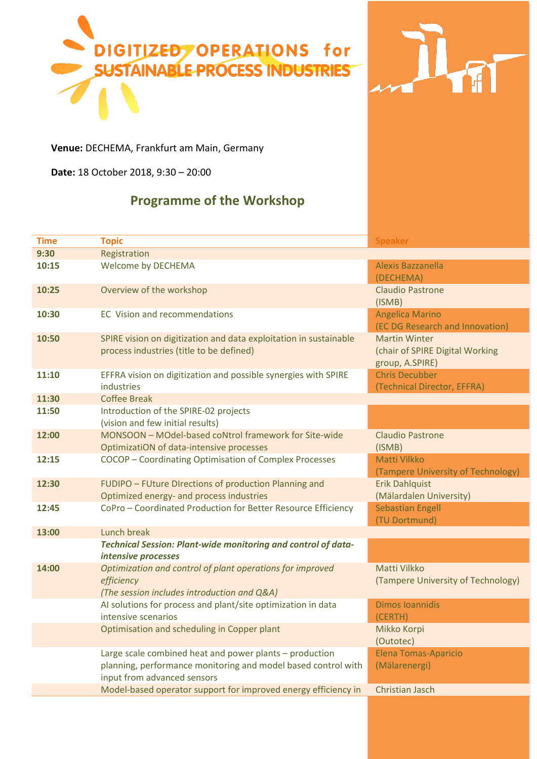



**Venue:** DECHEMA, Frankfurt am Main, Germany

**Date:** 18 October 2018, 9:30 – 20:00

## **Programme of the Workshop**

| <b>Time</b> | <b>Topic</b>                                                                                                                                            | <b>Speaker</b>                                                             |
|-------------|---------------------------------------------------------------------------------------------------------------------------------------------------------|----------------------------------------------------------------------------|
| 9:30        | Registration                                                                                                                                            |                                                                            |
| 10:15       | Welcome by DECHEMA                                                                                                                                      | Alexis Bazzanella<br>(DECHEMA)                                             |
| 10:25       | Overview of the workshop                                                                                                                                | <b>Claudio Pastrone</b><br>(ISMB)                                          |
| 10:30       | <b>EC</b> Vision and recommendations                                                                                                                    | <b>Angelica Marino</b><br>(EC DG Research and Innovation)                  |
| 10:50       | SPIRE vision on digitization and data exploitation in sustainable<br>process industries (title to be defined)                                           | <b>Martin Winter</b><br>(chair of SPIRE Digital Working<br>group, A.SPIRE) |
| 11:10       | EFFRA vision on digitization and possible synergies with SPIRE<br>industries                                                                            | <b>Chris Decubber</b><br>(Technical Director, EFFRA)                       |
| 11:30       | <b>Coffee Break</b>                                                                                                                                     |                                                                            |
| 11:50       | Introduction of the SPIRE-02 projects<br>(vision and few initial results)                                                                               |                                                                            |
| 12:00       | MONSOON - MOdel-based coNtrol framework for Site-wide<br>OptimizatiON of data-intensive processes                                                       | <b>Claudio Pastrone</b><br>(ISMB)                                          |
| 12:15       | COCOP - Coordinating Optimisation of Complex Processes                                                                                                  | Matti Vilkko<br>(Tampere University of Technology)                         |
| 12:30       | FUDIPO - FUture DIrections of production Planning and<br>Optimized energy- and process industries                                                       | <b>Erik Dahlquist</b><br>(Mälardalen University)                           |
| 12:45       | CoPro - Coordinated Production for Better Resource Efficiency                                                                                           | <b>Sebastian Engell</b><br>(TU Dortmund)                                   |
| 13:00       | Lunch break                                                                                                                                             |                                                                            |
|             | <b>Technical Session: Plant-wide monitoring and control of data-</b><br>intensive processes                                                             |                                                                            |
| 14:00       | Optimization and control of plant operations for improved<br>efficiency<br>(The session includes introduction and Q&A)                                  | Matti Vilkko<br>(Tampere University of Technology)                         |
|             | Al solutions for process and plant/site optimization in data<br>intensive scenarios                                                                     | <b>Dimos Ioannidis</b><br>(CERTH)                                          |
|             | Optimisation and scheduling in Copper plant                                                                                                             | Mikko Korpi<br>(Outotec)                                                   |
|             | Large scale combined heat and power plants - production<br>planning, performance monitoring and model based control with<br>input from advanced sensors | <b>Elena Tomas-Aparicio</b><br>(Mälarenergi)                               |
|             | Model-based operator support for improved energy efficiency in                                                                                          | Christian Jasch                                                            |